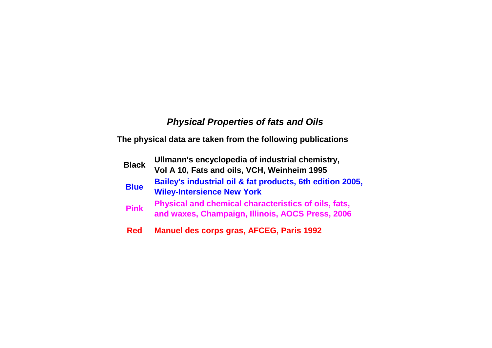## *Physical Properties of fats and Oils*

**The physical data are taken from the following publications**

| <b>Black</b> | Ullmann's encyclopedia of industrial chemistry,<br>Vol A 10, Fats and oils, VCH, Weinheim 1995           |
|--------------|----------------------------------------------------------------------------------------------------------|
| <b>Blue</b>  | Bailey's industrial oil & fat products, 6th edition 2005,<br><b>Wiley-Intersience New York</b>           |
| <b>Pink</b>  | Physical and chemical characteristics of oils, fats,<br>and waxes, Champaign, Illinois, AOCS Press, 2006 |
| Dad          | Manuel des cerns gras AECEC Daris 1002                                                                   |

**Red Manuel des corps gras, AFCEG, Paris 1992**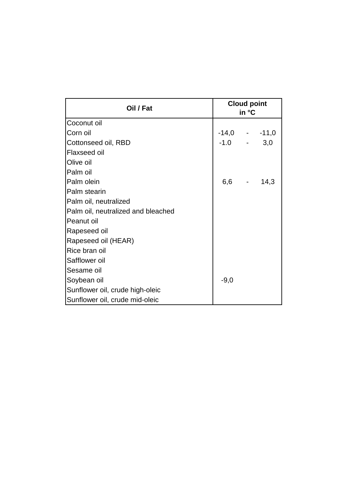| Oil / Fat                          | <b>Cloud point</b><br>in °C |  |               |
|------------------------------------|-----------------------------|--|---------------|
| Coconut oil                        |                             |  |               |
| Corn oil                           |                             |  | $-14,0 -11,0$ |
| Cottonseed oil, RBD                | $-1.0 -$                    |  | 3,0           |
| Flaxseed oil                       |                             |  |               |
| Olive oil                          |                             |  |               |
| Palm oil                           |                             |  |               |
| Palm olein                         | 6,6 -                       |  | 14,3          |
| Palm stearin                       |                             |  |               |
| Palm oil, neutralized              |                             |  |               |
| Palm oil, neutralized and bleached |                             |  |               |
| Peanut oil                         |                             |  |               |
| Rapeseed oil                       |                             |  |               |
| Rapeseed oil (HEAR)                |                             |  |               |
| Rice bran oil                      |                             |  |               |
| Safflower oil                      |                             |  |               |
| Sesame oil                         |                             |  |               |
| Soybean oil                        | $-9,0$                      |  |               |
| Sunflower oil, crude high-oleic    |                             |  |               |
| Sunflower oil, crude mid-oleic     |                             |  |               |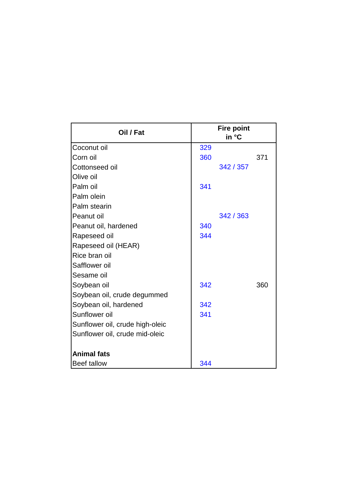| Oil / Fat                       |     | <b>Fire point</b><br>in °C |     |
|---------------------------------|-----|----------------------------|-----|
| Coconut oil                     | 329 |                            |     |
| Corn oil                        | 360 |                            | 371 |
| Cottonseed oil                  |     | 342 / 357                  |     |
| Olive oil                       |     |                            |     |
| Palm oil                        | 341 |                            |     |
| Palm olein                      |     |                            |     |
| Palm stearin                    |     |                            |     |
| Peanut oil                      |     | 342 / 363                  |     |
| Peanut oil, hardened            | 340 |                            |     |
| Rapeseed oil                    | 344 |                            |     |
| Rapeseed oil (HEAR)             |     |                            |     |
| Rice bran oil                   |     |                            |     |
| Safflower oil                   |     |                            |     |
| Sesame oil                      |     |                            |     |
| Soybean oil                     | 342 |                            | 360 |
| Soybean oil, crude degummed     |     |                            |     |
| Soybean oil, hardened           | 342 |                            |     |
| Sunflower oil                   | 341 |                            |     |
| Sunflower oil, crude high-oleic |     |                            |     |
| Sunflower oil, crude mid-oleic  |     |                            |     |
| <b>Animal fats</b>              |     |                            |     |
| <b>Beef tallow</b>              | 344 |                            |     |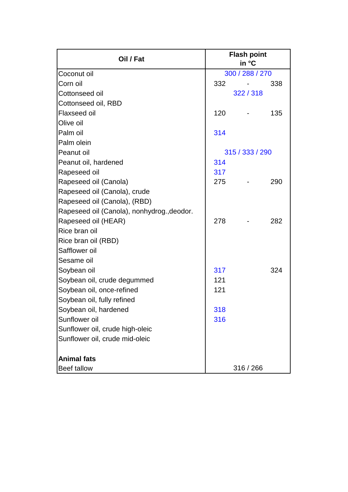| Oil / Fat                                  |     | <b>Flash point</b><br>in °C |     |
|--------------------------------------------|-----|-----------------------------|-----|
| Coconut oil                                |     | 300 / 288 / 270             |     |
| Corn oil                                   | 332 |                             | 338 |
| Cottonseed oil                             |     | 322/318                     |     |
| Cottonseed oil, RBD                        |     |                             |     |
| <b>Flaxseed oil</b>                        | 120 |                             | 135 |
| Olive oil                                  |     |                             |     |
| Palm oil                                   | 314 |                             |     |
| Palm olein                                 |     |                             |     |
| Peanut oil                                 |     | 315 / 333 / 290             |     |
| Peanut oil, hardened                       | 314 |                             |     |
| Rapeseed oil                               | 317 |                             |     |
| Rapeseed oil (Canola)                      | 275 |                             | 290 |
| Rapeseed oil (Canola), crude               |     |                             |     |
| Rapeseed oil (Canola), (RBD)               |     |                             |     |
| Rapeseed oil (Canola), nonhydrog., deodor. |     |                             |     |
| Rapeseed oil (HEAR)                        | 278 |                             | 282 |
| Rice bran oil                              |     |                             |     |
| Rice bran oil (RBD)                        |     |                             |     |
| Safflower oil                              |     |                             |     |
| Sesame oil                                 |     |                             |     |
| Soybean oil                                | 317 |                             | 324 |
| Soybean oil, crude degummed                | 121 |                             |     |
| Soybean oil, once-refined                  | 121 |                             |     |
| Soybean oil, fully refined                 |     |                             |     |
| Soybean oil, hardened                      | 318 |                             |     |
| Sunflower oil                              | 316 |                             |     |
| Sunflower oil, crude high-oleic            |     |                             |     |
| Sunflower oil, crude mid-oleic             |     |                             |     |
|                                            |     |                             |     |
| <b>Animal fats</b>                         |     |                             |     |
| Beef tallow                                |     | 316 / 266                   |     |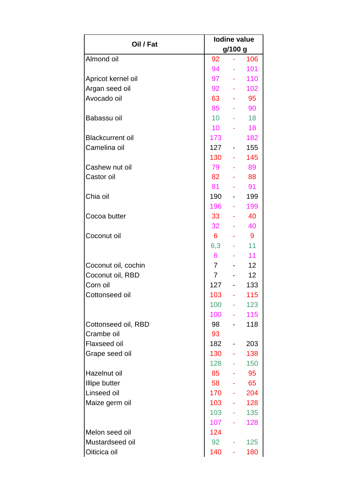| Oil / Fat               |                  |                          | <b>lodine value</b> |  |  |  |
|-------------------------|------------------|--------------------------|---------------------|--|--|--|
|                         |                  | g/100 g                  |                     |  |  |  |
| Almond oil              | 92               |                          | 106                 |  |  |  |
|                         | 94               |                          | 101                 |  |  |  |
| Apricot kernel oil      | 97               |                          | 110                 |  |  |  |
| Argan seed oil          | 92               |                          | 102                 |  |  |  |
| Avocado oil             | 63               | A.                       | 95                  |  |  |  |
|                         | 85               |                          | 90                  |  |  |  |
| Babassu oil             | 10 <sup>1</sup>  |                          | 18                  |  |  |  |
|                         | 10 <sup>1</sup>  |                          | 18                  |  |  |  |
| <b>Blackcurrent oil</b> | 173              |                          | 182                 |  |  |  |
| Camelina oil            | 127              | $\sim 100$               | 155                 |  |  |  |
|                         | 130              |                          | 145                 |  |  |  |
| Cashew nut oil          | 79               |                          | 89                  |  |  |  |
| Castor oil              | 82               |                          | 88                  |  |  |  |
|                         | 81               |                          | 91                  |  |  |  |
| Chia oil                | 190              |                          | 199                 |  |  |  |
|                         | 196              |                          | 199                 |  |  |  |
| Cocoa butter            | 33               |                          | 40                  |  |  |  |
|                         | 32               |                          | 40                  |  |  |  |
| Coconut oil             | 6 <sup>1</sup>   |                          | 9                   |  |  |  |
|                         | 6,3              |                          | 11                  |  |  |  |
|                         | 6                |                          | 11                  |  |  |  |
| Coconut oil, cochin     | 7 <sup>7</sup>   |                          | 12                  |  |  |  |
| Coconut oil, RBD        | $\overline{7}$   |                          | 12                  |  |  |  |
| Corn oil                | 127              | $\frac{1}{2}$            | 133                 |  |  |  |
| Cottonseed oil          | 103 <sub>1</sub> | <b>Contract Contract</b> | 115                 |  |  |  |
|                         | 100              | e i s                    | 123                 |  |  |  |
|                         | 100              | A.                       | 115                 |  |  |  |
| Cottonseed oil, RBD     | 98               |                          | 118                 |  |  |  |
| Crambe oil              | 93               |                          |                     |  |  |  |
| <b>Flaxseed oil</b>     | 182              |                          | 203                 |  |  |  |
| Grape seed oil          | 130              |                          | 138                 |  |  |  |
|                         | 128              |                          | 150                 |  |  |  |
| Hazelnut oil            | 85               |                          | 95                  |  |  |  |
| <b>Illipe butter</b>    | 58               |                          | 65                  |  |  |  |
| Linseed oil             | 170              | Albert C                 | 204                 |  |  |  |
| Maize germ oil          | 103              |                          | 128                 |  |  |  |
|                         | 103              |                          | 135                 |  |  |  |
|                         | 107              |                          | 128                 |  |  |  |
| Melon seed oil          | 124              |                          |                     |  |  |  |
| Mustardseed oil         | 92               |                          | 125                 |  |  |  |
| Oiticica oil            | 140              |                          | 180                 |  |  |  |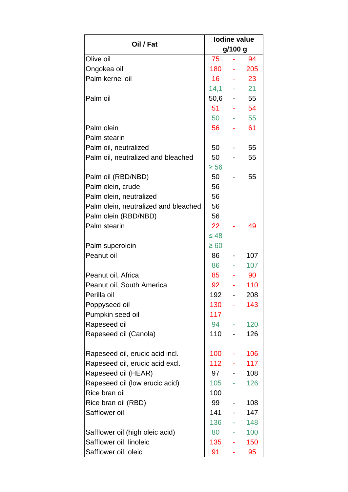|                                      | <b>lodine value</b> |                     |           |  |  |
|--------------------------------------|---------------------|---------------------|-----------|--|--|
| Oil / Fat                            |                     | g/100 g             |           |  |  |
| Olive oil                            | 75                  |                     | 94        |  |  |
| Ongokea oil                          | 180                 | $\omega_{\rm{max}}$ | 205       |  |  |
| Palm kernel oil                      |                     |                     | $16 - 23$ |  |  |
|                                      | $14,1 - 21$         |                     |           |  |  |
| Palm oil                             | $50,6 - 55$         |                     |           |  |  |
|                                      |                     |                     | 51 - 54   |  |  |
|                                      | 50                  |                     | $-55$     |  |  |
| Palm olein                           | 56                  |                     | 61        |  |  |
| Palm stearin                         |                     |                     |           |  |  |
| Palm oil, neutralized                | 50                  |                     | 55        |  |  |
| Palm oil, neutralized and bleached   | 50                  |                     | 55        |  |  |
|                                      | $\geq 56$           |                     |           |  |  |
| Palm oil (RBD/NBD)                   | 50                  |                     | 55        |  |  |
| Palm olein, crude                    | 56                  |                     |           |  |  |
| Palm olein, neutralized              | 56                  |                     |           |  |  |
| Palm olein, neutralized and bleached | 56                  |                     |           |  |  |
| Palm olein (RBD/NBD)                 | 56                  |                     |           |  |  |
| Palm stearin                         | 22 <sub>2</sub>     |                     | 49        |  |  |
|                                      | $\leq 48$           |                     |           |  |  |
| Palm superolein                      | $\geq 60$           |                     |           |  |  |
| Peanut oil                           | 86                  |                     | 107       |  |  |
|                                      | 86                  |                     | 107       |  |  |
| Peanut oil, Africa                   | 85                  |                     | 90        |  |  |
| Peanut oil, South America            | 92                  |                     | 110       |  |  |
| Perilla oil                          | 192                 | $\sim$              | 208       |  |  |
| Poppyseed oil                        | $130 -$             |                     | 143       |  |  |
| Pumpkin seed oil                     | 117                 |                     |           |  |  |
| Rapeseed oil                         | 94                  |                     | 120       |  |  |
| Rapeseed oil (Canola)                | 110                 |                     | 126       |  |  |
|                                      |                     |                     |           |  |  |
| Rapeseed oil, erucic acid incl.      | 100                 |                     | 106       |  |  |
| Rapeseed oil, erucic acid excl.      | 112                 |                     | 117       |  |  |
| Rapeseed oil (HEAR)                  | 97                  |                     | 108       |  |  |
| Rapeseed oil (low erucic acid)       | 105                 |                     | 126       |  |  |
| Rice bran oil                        | 100                 |                     |           |  |  |
| Rice bran oil (RBD)                  | 99                  |                     | 108       |  |  |
| Safflower oil                        | 141                 |                     | 147       |  |  |
|                                      | 136                 |                     | 148       |  |  |
| Safflower oil (high oleic acid)      | 80                  |                     | 100       |  |  |
| Safflower oil, linoleic              | 135                 |                     | 150       |  |  |
| Safflower oil, oleic                 | 91                  |                     | 95        |  |  |
|                                      |                     |                     |           |  |  |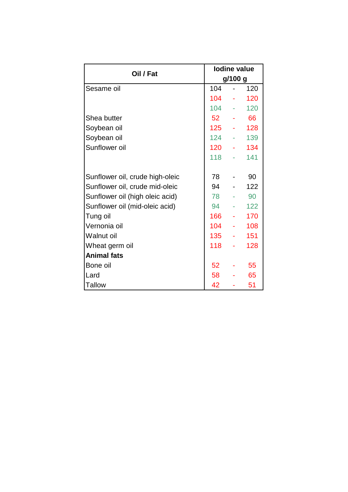|                                 |         | lodine value |     |  |
|---------------------------------|---------|--------------|-----|--|
| Oil / Fat                       | g/100 g |              |     |  |
| Sesame oil                      | 104     |              | 120 |  |
|                                 | 104     |              | 120 |  |
|                                 | 104     |              | 120 |  |
| Shea butter                     | 52      | ÷            | 66  |  |
| Soybean oil                     | 125     |              | 128 |  |
| Soybean oil                     | 124     |              | 139 |  |
| Sunflower oil                   | 120     |              | 134 |  |
|                                 | 118     |              | 141 |  |
|                                 |         |              |     |  |
| Sunflower oil, crude high-oleic | 78      |              | 90  |  |
| Sunflower oil, crude mid-oleic  | 94      |              | 122 |  |
| Sunflower oil (high oleic acid) | 78      |              | 90  |  |
| Sunflower oil (mid-oleic acid)  | 94      |              | 122 |  |
| Tung oil                        | 166     |              | 170 |  |
| Vernonia oil                    | 104     |              | 108 |  |
| Walnut oil                      | 135     |              | 151 |  |
| Wheat germ oil                  | 118     |              | 128 |  |
| <b>Animal fats</b>              |         |              |     |  |
| Bone oil                        | 52      |              | 55  |  |
| Lard                            | 58      |              | 65  |  |
| <b>Tallow</b>                   | 42      |              | 51  |  |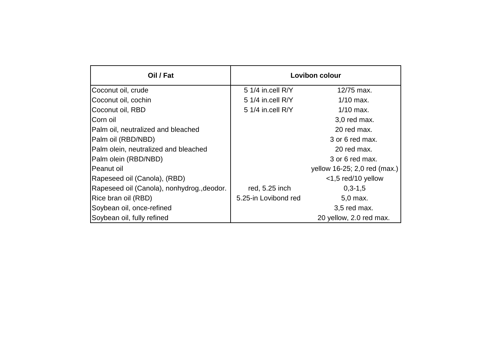| Oil / Fat                                  | <b>Lovibon colour</b> |                              |  |  |
|--------------------------------------------|-----------------------|------------------------------|--|--|
| Coconut oil, crude                         | 5 1/4 in.cell R/Y     | 12/75 max.                   |  |  |
| Coconut oil, cochin                        | 5 1/4 in.cell R/Y     | $1/10$ max.                  |  |  |
| Coconut oil, RBD                           | 5 $1/4$ in.cell $R/Y$ | $1/10$ max.                  |  |  |
| Corn oil                                   |                       | 3,0 red max.                 |  |  |
| Palm oil, neutralized and bleached         |                       | 20 red max.                  |  |  |
| Palm oil (RBD/NBD)                         |                       | 3 or 6 red max.              |  |  |
| Palm olein, neutralized and bleached       |                       | 20 red max.                  |  |  |
| Palm olein (RBD/NBD)                       |                       | 3 or 6 red max.              |  |  |
| Peanut oil                                 |                       | yellow 16-25; 2,0 red (max.) |  |  |
| Rapeseed oil (Canola), (RBD)               |                       | $<$ 1,5 red/10 yellow        |  |  |
| Rapeseed oil (Canola), nonhydrog., deodor. | red, 5.25 inch        | $0,3-1,5$                    |  |  |
| Rice bran oil (RBD)                        | 5.25-in Lovibond red  | 5,0 max.                     |  |  |
| Soybean oil, once-refined                  |                       | 3,5 red max.                 |  |  |
| Soybean oil, fully refined                 |                       | 20 yellow, 2.0 red max.      |  |  |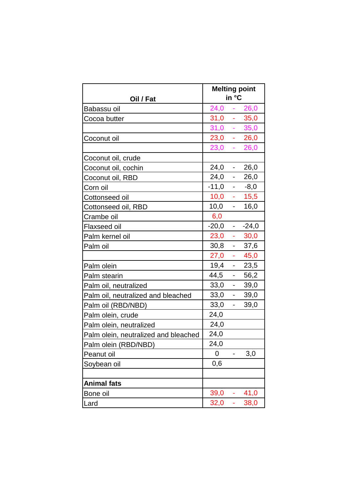| Oil / Fat                            |         | in °C                    | <b>Melting point</b> |
|--------------------------------------|---------|--------------------------|----------------------|
| Babassu oil                          | 24,0    | ÷                        | 26,0                 |
| Cocoa butter                         | 31,0    | ÷                        | 35,0                 |
|                                      | 31,0    | ÷                        | 35,0                 |
| Coconut oil                          | 23,0    | ÷                        | 26,0                 |
|                                      | 23,0    | ÷                        | 26,0                 |
| Coconut oil, crude                   |         |                          |                      |
| Coconut oil, cochin                  | 24,0    | $\overline{\phantom{a}}$ | 26,0                 |
| Coconut oil, RBD                     | 24,0    | $\overline{\phantom{a}}$ | 26,0                 |
| Corn oil                             | $-11,0$ |                          | $-8,0$               |
| Cottonseed oil                       | 10,0    | ÷                        | 15,5                 |
| Cottonseed oil, RBD                  | 10,0    | ÷,                       | 16,0                 |
| Crambe oil                           | 6,0     |                          |                      |
| Flaxseed oil                         | $-20,0$ | $\overline{\phantom{a}}$ | $-24,0$              |
| Palm kernel oil                      | 23,0    | ÷                        | 30,0                 |
| Palm oil                             | 30,8    | $\overline{\phantom{a}}$ | 37,6                 |
|                                      | 27,0    | è                        | 45,0                 |
| Palm olein                           | 19,4    | $\overline{\phantom{0}}$ | 23,5                 |
| Palm stearin                         | 44,5    | $\overline{\phantom{a}}$ | 56,2                 |
| Palm oil, neutralized                | 33,0    | $\overline{\phantom{0}}$ | 39,0                 |
| Palm oil, neutralized and bleached   | 33,0    | $\overline{\phantom{a}}$ | 39,0                 |
| Palm oil (RBD/NBD)                   | 33,0    | ÷,                       | 39,0                 |
| Palm olein, crude                    | 24,0    |                          |                      |
| Palm olein, neutralized              | 24,0    |                          |                      |
| Palm olein, neutralized and bleached | 24,0    |                          |                      |
| Palm olein (RBD/NBD)                 | 24,0    |                          |                      |
| Peanut oil                           | 0       |                          | 3,0                  |
| Soybean oil                          | 0,6     |                          |                      |
|                                      |         |                          |                      |
| <b>Animal fats</b>                   |         |                          |                      |
| Bone oil                             | 39,0    |                          | 41,0                 |
| Lard                                 | 32,0    | ÷                        | 38,0                 |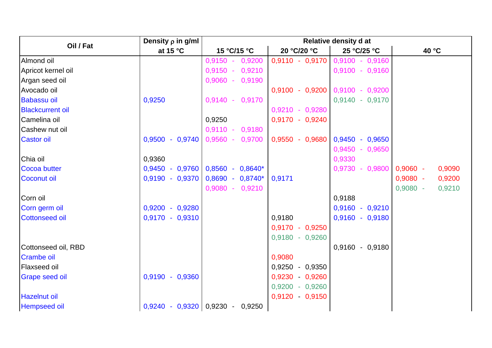|                         | Density $\rho$ in g/ml     | Relative density d at |                   |                                   |                      |
|-------------------------|----------------------------|-----------------------|-------------------|-----------------------------------|----------------------|
| Oil / Fat               | at 15 °C                   | 15 °C/15 °C           | 20 °C/20 °C       | 25 °C/25 °C                       | 40 °C                |
| Almond oil              |                            | $0,9150 -$<br>0,9200  | $0,9110 - 0,9170$ | $0,9100 - 0,9160$                 |                      |
| Apricot kernel oil      |                            | 0,9210<br>$0,9150 -$  |                   | $0,9100 - 0,9160$                 |                      |
| Argan seed oil          |                            | $0,9060 -$<br>0,9190  |                   |                                   |                      |
| Avocado oil             |                            |                       |                   | $0,9100 - 0,9200$ 0,9100 - 0,9200 |                      |
| <b>Babassu oil</b>      | 0,9250                     | 0,9170<br>$0,9140 -$  |                   | 0,9140 - 0,9170                   |                      |
| <b>Blackcurrent oil</b> |                            |                       | $0,9210 - 0,9280$ |                                   |                      |
| Camelina oil            |                            | 0,9250                | $0,9170 - 0,9240$ |                                   |                      |
| Cashew nut oil          |                            | $0,9110 -$<br>0,9180  |                   |                                   |                      |
| <b>Castor oil</b>       | $0,9500 - 0,9740$          | $0,9560 -$<br>0,9700  | $0,9550 - 0,9680$ | $0,9450 - 0,9650$                 |                      |
|                         |                            |                       |                   | $0,9450 - 0,9650$                 |                      |
| Chia oil                | 0,9360                     |                       |                   | 0,9330                            |                      |
| <b>Cocoa butter</b>     | $0,9450 - 0,9760$          | $0,8560 - 0,8640*$    |                   | 0,9730 - 0,9800                   | $0,9060 -$<br>0,9090 |
| <b>Coconut oil</b>      | $0,9190 - 0,9370$          | $0,8690 - 0,8740*$    | 0,9171            |                                   | $0,9080 -$<br>0,9200 |
|                         |                            | $0,9080 - 0,9210$     |                   |                                   | $0.9080 -$<br>0,9210 |
| Corn oil                |                            |                       |                   | 0,9188                            |                      |
| Corn germ oil           | $0,9200 - 0,9280$          |                       |                   | $0,9160 - 0,9210$                 |                      |
| <b>Cottonseed oil</b>   | $0,9170 - 0,9310$          |                       | 0,9180            | $0,9160 - 0,9180$                 |                      |
|                         |                            |                       | $0,9170 - 0,9250$ |                                   |                      |
|                         |                            |                       | $0,9180 - 0,9260$ |                                   |                      |
| Cottonseed oil, RBD     |                            |                       |                   | 0,9160 - 0,9180                   |                      |
| <b>Crambe oil</b>       |                            |                       | 0,9080            |                                   |                      |
| Flaxseed oil            |                            |                       | 0,9250 - 0,9350   |                                   |                      |
| <b>Grape seed oil</b>   | $0,9190 - 0,9360$          |                       | 0,9230 - 0,9260   |                                   |                      |
|                         |                            |                       | $0,9200 - 0,9260$ |                                   |                      |
| <b>Hazelnut oil</b>     |                            |                       | 0,9120  0,9150    |                                   |                      |
| <b>Hempseed oil</b>     | $0,9240 - 0,9320$ 0,9230 - | 0,9250                |                   |                                   |                      |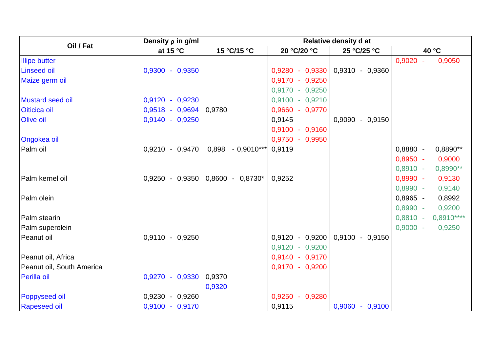|                           | Density $\rho$ in g/ml | <b>Relative density d at</b> |                   |                   |            |             |
|---------------------------|------------------------|------------------------------|-------------------|-------------------|------------|-------------|
| Oil / Fat                 | at 15 $\degree$ C      | 15 °C/15 °C                  | 20 °C/20 °C       | 25 °C/25 °C       | 40 °C      |             |
| <b>Illipe butter</b>      |                        |                              |                   |                   | $0,9020 -$ | 0,9050      |
| <b>Linseed oil</b>        | $0,9300 - 0,9350$      |                              | 0,9280 - 0,9330   | 0,9310 - 0,9360   |            |             |
| Maize germ oil            |                        |                              | $0,9170 - 0,9250$ |                   |            |             |
|                           |                        |                              | $0,9170 - 0,9250$ |                   |            |             |
| <b>Mustard seed oil</b>   | $0,9120 - 0,9230$      |                              | $0,9100 - 0,9210$ |                   |            |             |
| Oiticica oil              | $0,9518 - 0,9694$      | 0,9780                       | 0,9660 - 0,9770   |                   |            |             |
| <b>Olive oil</b>          | $0,9140 - 0,9250$      |                              | 0,9145            | 0,9090 - 0,9150   |            |             |
|                           |                        |                              | $0,9100 - 0,9160$ |                   |            |             |
| <b>Ongokea oil</b>        |                        |                              | $0,9750 - 0,9950$ |                   |            |             |
| Palm oil                  | $0,9210 - 0,9470$      | $0,898 - 0,9010***$          | 0,9119            |                   | $0,8880 -$ | 0,8890**    |
|                           |                        |                              |                   |                   | $0,8950 -$ | 0,9000      |
|                           |                        |                              |                   |                   | $0,8910 -$ | $0,8990**$  |
| Palm kernel oil           | $0,9250 - 0,9350$      | $0,8600 - 0,8730^*$          | 0,9252            |                   | $0,8990 -$ | 0,9130      |
|                           |                        |                              |                   |                   | $0,8990 -$ | 0,9140      |
| Palm olein                |                        |                              |                   |                   | $0,8965 -$ | 0,8992      |
|                           |                        |                              |                   |                   | $0,8990 -$ | 0,9200      |
| Palm stearin              |                        |                              |                   |                   | $0,8810 -$ | $0,8910***$ |
| Palm superolein           |                        |                              |                   |                   | $0,9000 -$ | 0,9250      |
| Peanut oil                | $0,9110 - 0,9250$      |                              | $0,9120 - 0,9200$ | 0,9100 - 0,9150   |            |             |
|                           |                        |                              | $0,9120 - 0,9200$ |                   |            |             |
| Peanut oil, Africa        |                        |                              | 0,9140 - 0,9170   |                   |            |             |
| Peanut oil, South America |                        |                              | $0,9170 - 0,9200$ |                   |            |             |
| <b>Perilla oil</b>        | $0,9270 - 0,9330$      | 0,9370                       |                   |                   |            |             |
|                           |                        | 0,9320                       |                   |                   |            |             |
| <b>Poppyseed oil</b>      | $0,9230 - 0,9260$      |                              | $0,9250 - 0,9280$ |                   |            |             |
| <b>Rapeseed oil</b>       | $0,9100 - 0,9170$      |                              | 0,9115            | $0,9060 - 0,9100$ |            |             |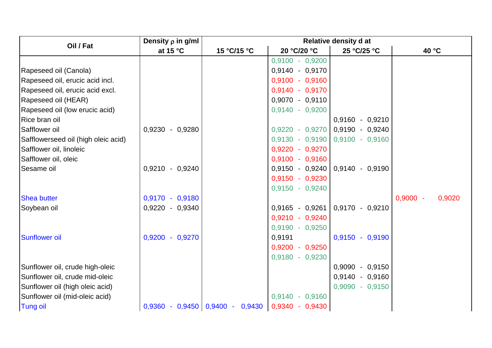|                                     | Density $\rho$ in g/ml | Relative density d at             |                   |                                     |                      |
|-------------------------------------|------------------------|-----------------------------------|-------------------|-------------------------------------|----------------------|
| Oil / Fat                           | at 15 $\degree$ C      | 15 °C/15 °C                       | 20 °C/20 °C       | 25 °C/25 °C                         | 40 °C                |
|                                     |                        |                                   | $0,9100 - 0,9200$ |                                     |                      |
| Rapeseed oil (Canola)               |                        |                                   | 0,9140 - 0,9170   |                                     |                      |
| Rapeseed oil, erucic acid incl.     |                        |                                   | $0,9100 - 0,9160$ |                                     |                      |
| Rapeseed oil, erucic acid excl.     |                        |                                   | $0,9140 - 0,9170$ |                                     |                      |
| Rapeseed oil (HEAR)                 |                        |                                   | $0,9070 - 0,9110$ |                                     |                      |
| Rapeseed oil (low erucic acid)      |                        |                                   | 0,9140 - 0,9200   |                                     |                      |
| Rice bran oil                       |                        |                                   |                   | $0,9160 - 0,9210$                   |                      |
| Safflower oil                       | 0,9230 - 0,9280        |                                   |                   | $0,9220 - 0,9270$ 0,9190 - 0,9240   |                      |
| Safflowerseed oil (high oleic acid) |                        |                                   |                   | $0,9130 - 0,9190$ 0,9100 - 0,9160   |                      |
| Safflower oil, linoleic             |                        |                                   | 0,9220 - 0,9270   |                                     |                      |
| Safflower oil, oleic                |                        |                                   | $0,9100 - 0,9160$ |                                     |                      |
| Sesame oil                          | $0.9210 - 0.9240$      |                                   |                   | $0,9150 - 0,9240   0,9140 - 0,9190$ |                      |
|                                     |                        |                                   | $0,9150 - 0,9230$ |                                     |                      |
|                                     |                        |                                   | $0,9150 - 0,9240$ |                                     |                      |
| <b>Shea butter</b>                  | $0,9170 - 0,9180$      |                                   |                   |                                     | $0,9000 -$<br>0,9020 |
| Soybean oil                         | 0,9220 - 0,9340        |                                   |                   | $0,9165 - 0,9261   0,9170 - 0,9210$ |                      |
|                                     |                        |                                   | $0,9210 - 0,9240$ |                                     |                      |
|                                     |                        |                                   | 0,9190 - 0,9250   |                                     |                      |
| <b>Sunflower oil</b>                | $0,9200 - 0,9270$      |                                   | 0,9191            | $0,9150 - 0,9190$                   |                      |
|                                     |                        |                                   | $0,9200 - 0,9250$ |                                     |                      |
|                                     |                        |                                   | $0,9180 - 0,9230$ |                                     |                      |
| Sunflower oil, crude high-oleic     |                        |                                   |                   | $0,9090 - 0,9150$                   |                      |
| Sunflower oil, crude mid-oleic      |                        |                                   |                   | 0,9140 - 0,9160                     |                      |
| Sunflower oil (high oleic acid)     |                        |                                   |                   | $0,9090 - 0,9150$                   |                      |
| Sunflower oil (mid-oleic acid)      |                        |                                   | $0,9140 - 0,9160$ |                                     |                      |
| <b>Tung oil</b>                     |                        | $0,9360 - 0,9450$ 0,9400 - 0,9430 | $0,9340 - 0,9430$ |                                     |                      |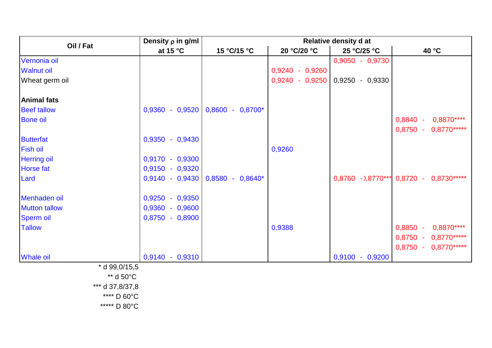|                      | Density $\rho$ in g/ml |                     | <b>Relative density d at</b> |                   |                                         |  |
|----------------------|------------------------|---------------------|------------------------------|-------------------|-----------------------------------------|--|
| Oil / Fat            | at 15 °C               | 15 °C/15 °C         | 20 °C/20 °C                  | 25 °C/25 °C       | 40 °C                                   |  |
| Vernonia oil         |                        |                     |                              | 0,9050 - 0,9730   |                                         |  |
| <b>Walnut oil</b>    |                        |                     | 0,9240 - 0,9260              |                   |                                         |  |
| Wheat germ oil       |                        |                     | 0,9240 - 0,9250              | 0,9250 - 0,9330   |                                         |  |
| <b>Animal fats</b>   |                        |                     |                              |                   |                                         |  |
| <b>Beef tallow</b>   | $0,9360 - 0,9520$      | $0,8600 - 0,8700*$  |                              |                   |                                         |  |
| <b>Bone oil</b>      |                        |                     |                              |                   | 0,8840 - 0,8870****                     |  |
|                      |                        |                     |                              |                   | 0,8750 - 0,8770*****                    |  |
| <b>Butterfat</b>     | $0,9350 - 0,9430$      |                     |                              |                   |                                         |  |
| <b>Fish oil</b>      |                        |                     | 0,9260                       |                   |                                         |  |
| <b>Herring oil</b>   | $0,9170 - 0,9300$      |                     |                              |                   |                                         |  |
| <b>Horse</b> fat     | $0,9150 - 0,9320$      |                     |                              |                   |                                         |  |
| Lard                 | $0,9140 - 0,9430$      | $0,8580 - 0,8640^*$ |                              |                   | 0,8760 - 0,8770*** 0,8720 - 0,8730***** |  |
| Menhaden oil         | $0,9250 - 0,9350$      |                     |                              |                   |                                         |  |
| <b>Mutton tallow</b> | $0,9360 - 0,9600$      |                     |                              |                   |                                         |  |
| Sperm oil            | $0,8750 - 0,8900$      |                     |                              |                   |                                         |  |
| <b>Tallow</b>        |                        |                     | 0,9388                       |                   | 0,8850 - 0,8870****                     |  |
|                      |                        |                     |                              |                   | $0,8750 - 0,8770***$                    |  |
|                      |                        |                     |                              |                   | $0,8750 - 0,8770***$                    |  |
| <b>Whale oil</b>     | $0,9140 - 0,9310$      |                     |                              | $0,9100 - 0,9200$ |                                         |  |
| $*$ d 99,0/15,5      |                        |                     |                              |                   |                                         |  |
| ** d 50°C            |                        |                     |                              |                   |                                         |  |
| *** d 37,8/37,8      |                        |                     |                              |                   |                                         |  |
| **** D 60°C          |                        |                     |                              |                   |                                         |  |
| ***** D 80°C         |                        |                     |                              |                   |                                         |  |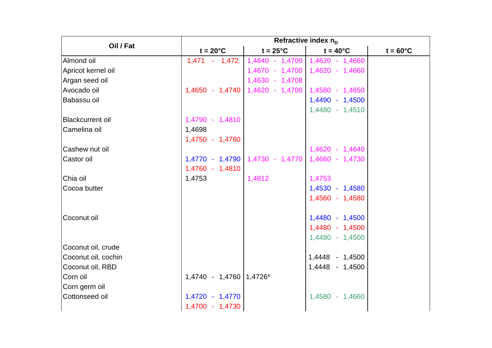|                         | Refractive index $n_D$    |                                 |                                 |                    |  |  |
|-------------------------|---------------------------|---------------------------------|---------------------------------|--------------------|--|--|
| Oil / Fat               | $t = 20^{\circ}C$         | $t = 25^{\circ}C$               | $t = 40^{\circ}$ C              | $t = 60^{\circ}$ C |  |  |
| Almond oil              | $1,471 - 1,472$           | 1,4640 - 1,4700                 | 1,4620 - 1,4660                 |                    |  |  |
| Apricot kernel oil      |                           |                                 | 1,4670 - 1,4700 1,4620 - 1,4660 |                    |  |  |
| Argan seed oil          |                           | 1,4630 - 1,4708                 |                                 |                    |  |  |
| Avocado oil             | 1,4650 - 1,4740           | 1,4620 - 1,4700 1,4580 - 1,4650 |                                 |                    |  |  |
| Babassu oil             |                           |                                 | 1,4490 - 1,4500                 |                    |  |  |
|                         |                           |                                 | 1,4480 - 1,4510                 |                    |  |  |
| <b>Blackcurrent oil</b> | 1,4790 - 1,4810           |                                 |                                 |                    |  |  |
| Camelina oil            | 1,4698                    |                                 |                                 |                    |  |  |
|                         | 1,4750 - 1,4760           |                                 |                                 |                    |  |  |
| Cashew nut oil          |                           |                                 | 1,4620 - 1,4640                 |                    |  |  |
| Castor oil              |                           | 1,4770 - 1,4790 1,4730 - 1,4770 | 1,4660 - 1,4730                 |                    |  |  |
|                         | 1,4760 - 1,4810           |                                 |                                 |                    |  |  |
| Chia oil                | 1,4753                    | 1,4812                          | 1,4753                          |                    |  |  |
| Cocoa butter            |                           |                                 | 1,4530 - 1,4580                 |                    |  |  |
|                         |                           |                                 | 1,4560 - 1,4580                 |                    |  |  |
|                         |                           |                                 |                                 |                    |  |  |
| Coconut oil             |                           |                                 | 1,4480 - 1,4500                 |                    |  |  |
|                         |                           |                                 | 1,4480 - 1,4500                 |                    |  |  |
|                         |                           |                                 | 1,4480 - 1,4500                 |                    |  |  |
| Coconut oil, crude      |                           |                                 |                                 |                    |  |  |
| Coconut oil, cochin     |                           |                                 | 1,4448 - 1,4500                 |                    |  |  |
| Coconut oil, RBD        |                           |                                 | 1,4448 - 1,4500                 |                    |  |  |
| Corn oil                | 1,4740 - 1,4760   1,4726* |                                 |                                 |                    |  |  |
| Corn germ oil           |                           |                                 |                                 |                    |  |  |
| Cottonseed oil          | 1,4720 - 1,4770           |                                 | 1,4580 - 1,4660                 |                    |  |  |
|                         | 1,4700 - 1,4730           |                                 |                                 |                    |  |  |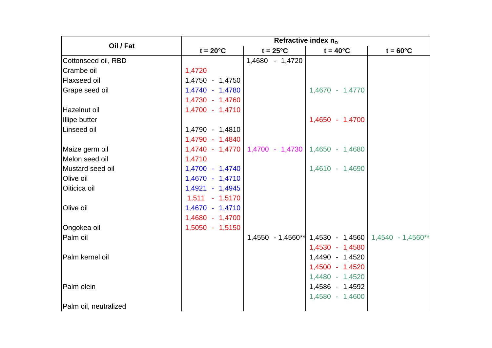|                       | Refractive index $n_D$ |                                                     |                    |                                                       |  |  |
|-----------------------|------------------------|-----------------------------------------------------|--------------------|-------------------------------------------------------|--|--|
| Oil / Fat             | $t = 20^{\circ}C$      | $t = 25^{\circ}C$                                   | $t = 40^{\circ}$ C | $t = 60^{\circ}$ C                                    |  |  |
| Cottonseed oil, RBD   |                        | 1,4680 - 1,4720                                     |                    |                                                       |  |  |
| Crambe oil            | 1,4720                 |                                                     |                    |                                                       |  |  |
| Flaxseed oil          | 1,4750 - 1,4750        |                                                     |                    |                                                       |  |  |
| Grape seed oil        | 1,4740 - 1,4780        |                                                     | 1,4670 - 1,4770    |                                                       |  |  |
|                       | 1,4730 - 1,4760        |                                                     |                    |                                                       |  |  |
| Hazelnut oil          | 1,4700 - 1,4710        |                                                     |                    |                                                       |  |  |
| <b>Illipe butter</b>  |                        |                                                     | 1,4650 - 1,4700    |                                                       |  |  |
| Linseed oil           | 1,4790 - 1,4810        |                                                     |                    |                                                       |  |  |
|                       | 1,4790 - 1,4840        |                                                     |                    |                                                       |  |  |
| Maize germ oil        |                        | 1,4740 - 1,4770   1,4700 - 1,4730   1,4650 - 1,4680 |                    |                                                       |  |  |
| Melon seed oil        | 1,4710                 |                                                     |                    |                                                       |  |  |
| Mustard seed oil      | 1,4700 - 1,4740        |                                                     | 1,4610 - 1,4690    |                                                       |  |  |
| Olive oil             | 1,4670 - 1,4710        |                                                     |                    |                                                       |  |  |
| Oiticica oil          | 1,4921 - 1,4945        |                                                     |                    |                                                       |  |  |
|                       | $1,511 - 1,5170$       |                                                     |                    |                                                       |  |  |
| Olive oil             | 1,4670 - 1,4710        |                                                     |                    |                                                       |  |  |
|                       | 1,4680 - 1,4700        |                                                     |                    |                                                       |  |  |
| Ongokea oil           | 1,5050 - 1,5150        |                                                     |                    |                                                       |  |  |
| Palm oil              |                        |                                                     |                    | $1,4550$ - 1,4560** 1,4530 - 1,4560 1,4540 - 1,4560** |  |  |
|                       |                        |                                                     | 1,4530 - 1,4580    |                                                       |  |  |
| Palm kernel oil       |                        |                                                     | 1,4490 - 1,4520    |                                                       |  |  |
|                       |                        |                                                     | 1,4500 - 1,4520    |                                                       |  |  |
|                       |                        |                                                     | 1,4480 - 1,4520    |                                                       |  |  |
| Palm olein            |                        |                                                     | 1,4586 - 1,4592    |                                                       |  |  |
|                       |                        |                                                     | 1,4580 - 1,4600    |                                                       |  |  |
| Palm oil, neutralized |                        |                                                     |                    |                                                       |  |  |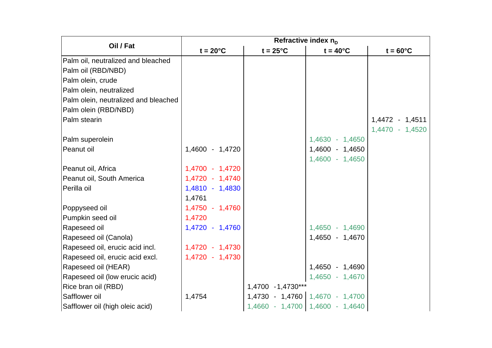|                                      | Refractive index $n_D$ |                    |                                   |                    |  |
|--------------------------------------|------------------------|--------------------|-----------------------------------|--------------------|--|
| Oil / Fat                            | $t = 20^{\circ}C$      | $t = 25^{\circ}C$  | $t = 40^{\circ}$ C                | $t = 60^{\circ}$ C |  |
| Palm oil, neutralized and bleached   |                        |                    |                                   |                    |  |
| Palm oil (RBD/NBD)                   |                        |                    |                                   |                    |  |
| Palm olein, crude                    |                        |                    |                                   |                    |  |
| Palm olein, neutralized              |                        |                    |                                   |                    |  |
| Palm olein, neutralized and bleached |                        |                    |                                   |                    |  |
| Palm olein (RBD/NBD)                 |                        |                    |                                   |                    |  |
| Palm stearin                         |                        |                    |                                   | 1,4472 - 1,4511    |  |
|                                      |                        |                    |                                   | 1,4470 - 1,4520    |  |
| Palm superolein                      |                        |                    | 1,4630 - 1,4650                   |                    |  |
| Peanut oil                           | 1,4600 - 1,4720        |                    | 1,4600 - 1,4650                   |                    |  |
|                                      |                        |                    | 1,4600 - 1,4650                   |                    |  |
| Peanut oil, Africa                   | 1,4700 - 1,4720        |                    |                                   |                    |  |
| Peanut oil, South America            | 1,4720 - 1,4740        |                    |                                   |                    |  |
| Perilla oil                          | 1,4810 - 1,4830        |                    |                                   |                    |  |
|                                      | 1,4761                 |                    |                                   |                    |  |
| Poppyseed oil                        | 1,4750 - 1,4760        |                    |                                   |                    |  |
| Pumpkin seed oil                     | 1,4720                 |                    |                                   |                    |  |
| Rapeseed oil                         | 1,4720 - 1,4760        |                    | 1,4650 - 1,4690                   |                    |  |
| Rapeseed oil (Canola)                |                        |                    | 1,4650 - 1,4670                   |                    |  |
| Rapeseed oil, erucic acid incl.      | 1,4720 - 1,4730        |                    |                                   |                    |  |
| Rapeseed oil, erucic acid excl.      | 1,4720 - 1,4730        |                    |                                   |                    |  |
| Rapeseed oil (HEAR)                  |                        |                    | 1,4650 - 1,4690                   |                    |  |
| Rapeseed oil (low erucic acid)       |                        |                    | 1,4650 - 1,4670                   |                    |  |
| Rice bran oil (RBD)                  |                        | 1,4700 - 1,4730*** |                                   |                    |  |
| Safflower oil                        | 1,4754                 |                    | $1,4730 - 1,4760$ 1,4670 - 1,4700 |                    |  |
| Safflower oil (high oleic acid)      |                        |                    | 1,4660 - 1,4700 1,4600 - 1,4640   |                    |  |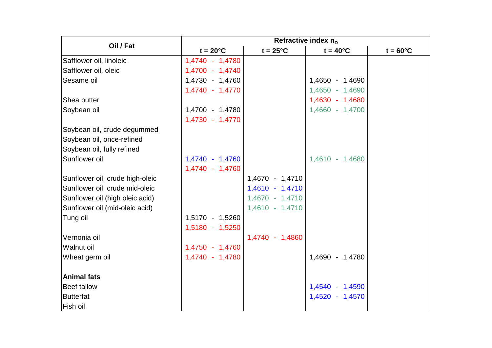|                                 | Refractive index $n_{D}$ |                   |                    |                    |  |
|---------------------------------|--------------------------|-------------------|--------------------|--------------------|--|
| Oil / Fat                       | $t = 20^{\circ}C$        | $t = 25^{\circ}C$ | $t = 40^{\circ}$ C | $t = 60^{\circ}$ C |  |
| Safflower oil, linoleic         | 1,4740 - 1,4780          |                   |                    |                    |  |
| Safflower oil, oleic            | 1,4700 - 1,4740          |                   |                    |                    |  |
| Sesame oil                      | 1,4730 - 1,4760          |                   | 1,4650 - 1,4690    |                    |  |
|                                 | 1,4740 - 1,4770          |                   | 1,4650 - 1,4690    |                    |  |
| Shea butter                     |                          |                   | 1,4630 - 1,4680    |                    |  |
| Soybean oil                     | 1,4700 - 1,4780          |                   | 1,4660 - 1,4700    |                    |  |
|                                 | 1,4730 - 1,4770          |                   |                    |                    |  |
| Soybean oil, crude degummed     |                          |                   |                    |                    |  |
| Soybean oil, once-refined       |                          |                   |                    |                    |  |
| Soybean oil, fully refined      |                          |                   |                    |                    |  |
| Sunflower oil                   | 1,4740 - 1,4760          |                   | 1,4610 - 1,4680    |                    |  |
|                                 | 1,4740 - 1,4760          |                   |                    |                    |  |
| Sunflower oil, crude high-oleic |                          | 1,4670 - 1,4710   |                    |                    |  |
| Sunflower oil, crude mid-oleic  |                          | 1,4610 - 1,4710   |                    |                    |  |
| Sunflower oil (high oleic acid) |                          | 1,4670 - 1,4710   |                    |                    |  |
| Sunflower oil (mid-oleic acid)  |                          | 1,4610 - 1,4710   |                    |                    |  |
| Tung oil                        | 1,5170 - 1,5260          |                   |                    |                    |  |
|                                 | 1,5180 - 1,5250          |                   |                    |                    |  |
| Vernonia oil                    |                          | 1,4740 - 1,4860   |                    |                    |  |
| Walnut oil                      | 1,4750 - 1,4760          |                   |                    |                    |  |
| Wheat germ oil                  | 1,4740 - 1,4780          |                   | 1,4690 - 1,4780    |                    |  |
|                                 |                          |                   |                    |                    |  |
| <b>Animal fats</b>              |                          |                   |                    |                    |  |
| <b>Beef tallow</b>              |                          |                   | 1,4540 - 1,4590    |                    |  |
| <b>Butterfat</b>                |                          |                   | 1,4520 - 1,4570    |                    |  |
| Fish oil                        |                          |                   |                    |                    |  |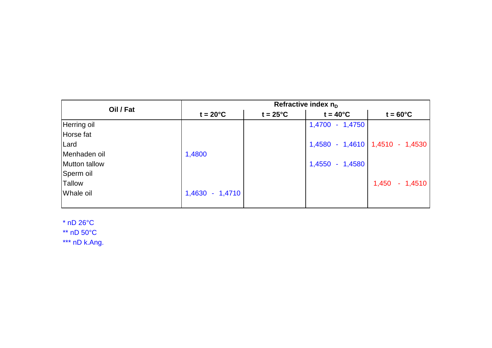| Oil / Fat     |                   | Refractive index $n_{D}$ |                    |                                   |  |  |  |
|---------------|-------------------|--------------------------|--------------------|-----------------------------------|--|--|--|
|               | $t = 20^{\circ}C$ | $t = 25^{\circ}C$        | $t = 40^{\circ}$ C | $t = 60^{\circ}$ C                |  |  |  |
| Herring oil   |                   |                          | 1,4700 - 1,4750    |                                   |  |  |  |
| Horse fat     |                   |                          |                    |                                   |  |  |  |
| Lard          |                   |                          |                    | 1,4580 - 1,4610   1,4510 - 1,4530 |  |  |  |
| Menhaden oil  | 1,4800            |                          |                    |                                   |  |  |  |
| Mutton tallow |                   |                          | 1,4550 - 1,4580    |                                   |  |  |  |
| Sperm oil     |                   |                          |                    |                                   |  |  |  |
| <b>Tallow</b> |                   |                          |                    | $1,450 - 1,4510$                  |  |  |  |
| Whale oil     | 1,4630 - 1,4710   |                          |                    |                                   |  |  |  |
|               |                   |                          |                    |                                   |  |  |  |

\* nD 26°C \*\* nD 50°C

\*\*\* nD k.Ang.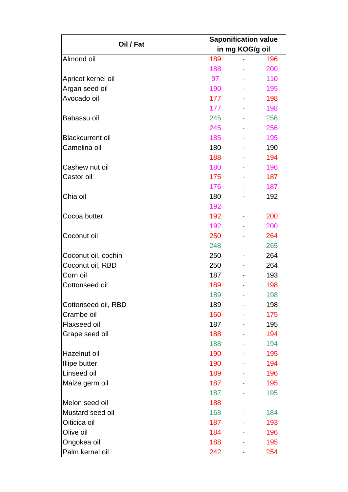| Oil / Fat               | <b>Saponification value</b> |                 |     |  |
|-------------------------|-----------------------------|-----------------|-----|--|
|                         |                             | in mg KOG/g oil |     |  |
| Almond oil              | 189                         |                 | 196 |  |
|                         | 188                         |                 | 200 |  |
| Apricot kernel oil      | 97                          |                 | 110 |  |
| Argan seed oil          | 190                         |                 | 195 |  |
| Avocado oil             | 177                         |                 | 198 |  |
|                         | 177                         |                 | 198 |  |
| Babassu oil             | 245                         |                 | 256 |  |
|                         | 245                         |                 | 256 |  |
| <b>Blackcurrent oil</b> | 185                         |                 | 195 |  |
| Camelina oil            | 180                         |                 | 190 |  |
|                         | 188                         |                 | 194 |  |
| Cashew nut oil          | 180                         |                 | 196 |  |
| Castor oil              | 175                         |                 | 187 |  |
|                         | 176                         |                 | 187 |  |
| Chia oil                | 180                         |                 | 192 |  |
|                         | 192                         |                 |     |  |
| Cocoa butter            | 192                         |                 | 200 |  |
|                         | 192                         |                 | 200 |  |
| Coconut oil             | 250                         |                 | 264 |  |
|                         | 248                         |                 | 265 |  |
| Coconut oil, cochin     | 250                         |                 | 264 |  |
| Coconut oil, RBD        | 250                         |                 | 264 |  |
| Corn oil                | 187                         |                 | 193 |  |
| Cottonseed oil          | 189                         |                 | 198 |  |
|                         | 189                         |                 | 198 |  |
| Cottonseed oil, RBD     | 189                         |                 | 198 |  |
| Crambe oil              | 160                         |                 | 175 |  |
| Flaxseed oil            | 187                         |                 | 195 |  |
| Grape seed oil          | 188                         |                 | 194 |  |
|                         | 188                         |                 | 194 |  |
| Hazelnut oil            | 190                         |                 | 195 |  |
| <b>Illipe butter</b>    | 190                         |                 | 194 |  |
| Linseed oil             | 189                         |                 | 196 |  |
| Maize germ oil          | 187                         |                 | 195 |  |
|                         | 187                         |                 | 195 |  |
| Melon seed oil          | 188                         |                 |     |  |
| Mustard seed oil        | 168                         |                 | 184 |  |
| Oiticica oil            | 187                         |                 | 193 |  |
| Olive oil               | 184                         |                 | 196 |  |
| Ongokea oil             | 188                         |                 | 195 |  |
| Palm kernel oil         | 242                         |                 | 254 |  |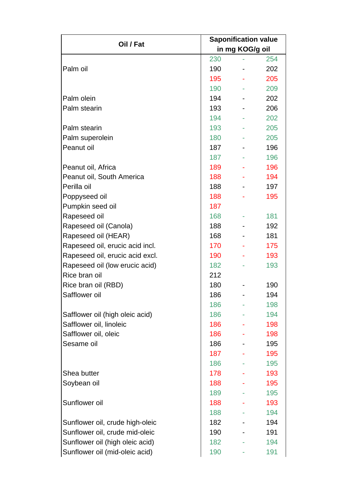| Oil / Fat                       | <b>Saponification value</b> |                 |     |  |
|---------------------------------|-----------------------------|-----------------|-----|--|
|                                 |                             | in mg KOG/g oil |     |  |
|                                 | 230                         |                 | 254 |  |
| Palm oil                        | 190                         |                 | 202 |  |
|                                 | 195                         |                 | 205 |  |
|                                 | 190                         |                 | 209 |  |
| Palm olein                      | 194                         |                 | 202 |  |
| Palm stearin                    | 193                         |                 | 206 |  |
|                                 | 194                         |                 | 202 |  |
| Palm stearin                    | 193                         |                 | 205 |  |
| Palm superolein                 | 180                         |                 | 205 |  |
| Peanut oil                      | 187                         |                 | 196 |  |
|                                 | 187                         |                 | 196 |  |
| Peanut oil, Africa              | 189                         |                 | 196 |  |
| Peanut oil, South America       | 188                         |                 | 194 |  |
| Perilla oil                     | 188                         |                 | 197 |  |
| Poppyseed oil                   | 188                         |                 | 195 |  |
| Pumpkin seed oil                | 187                         |                 |     |  |
| Rapeseed oil                    | 168                         |                 | 181 |  |
| Rapeseed oil (Canola)           | 188                         |                 | 192 |  |
| Rapeseed oil (HEAR)             | 168                         |                 | 181 |  |
| Rapeseed oil, erucic acid incl. | 170                         |                 | 175 |  |
| Rapeseed oil, erucic acid excl. | 190                         |                 | 193 |  |
| Rapeseed oil (low erucic acid)  | 182                         |                 | 193 |  |
| Rice bran oil                   | 212                         |                 |     |  |
| Rice bran oil (RBD)             | 180                         |                 | 190 |  |
| Safflower oil                   | 186                         |                 | 194 |  |
|                                 | 186                         |                 | 198 |  |
| Safflower oil (high oleic acid) | 186                         |                 | 194 |  |
| Safflower oil, linoleic         | 186                         |                 | 198 |  |
| Safflower oil, oleic            | 186                         |                 | 198 |  |
| Sesame oil                      | 186                         |                 | 195 |  |
|                                 | 187                         |                 | 195 |  |
|                                 | 186                         |                 | 195 |  |
| Shea butter                     | 178                         |                 | 193 |  |
| Soybean oil                     | 188                         |                 | 195 |  |
|                                 | 189                         |                 | 195 |  |
| Sunflower oil                   | 188                         |                 | 193 |  |
|                                 | 188                         |                 | 194 |  |
| Sunflower oil, crude high-oleic | 182                         |                 | 194 |  |
| Sunflower oil, crude mid-oleic  | 190                         |                 | 191 |  |
| Sunflower oil (high oleic acid) | 182                         |                 | 194 |  |
| Sunflower oil (mid-oleic acid)  | 190                         |                 | 191 |  |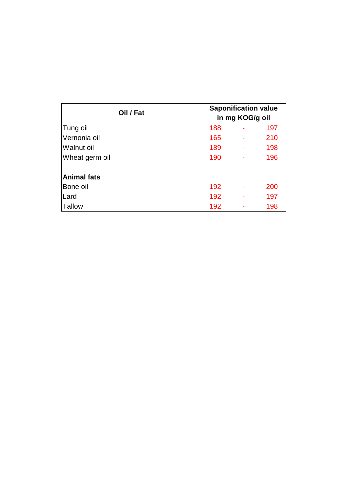| Oil / Fat          | <b>Saponification value</b><br>in mg KOG/g oil |   |     |
|--------------------|------------------------------------------------|---|-----|
| Tung oil           | 188                                            |   | 197 |
| Vernonia oil       | 165                                            |   | 210 |
| <b>Walnut oil</b>  | 189                                            | ÷ | 198 |
| Wheat germ oil     | 190                                            |   | 196 |
| <b>Animal fats</b> |                                                |   |     |
| Bone oil           | 192                                            |   | 200 |
| Lard               | 192                                            |   | 197 |
| <b>Tallow</b>      | 192                                            |   | 198 |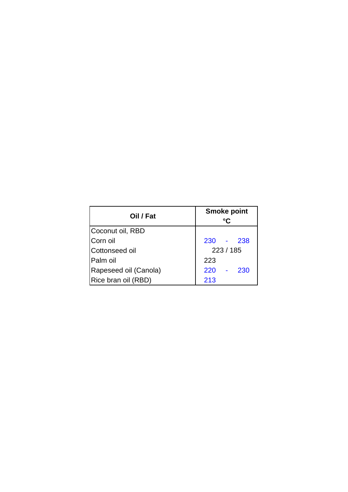| Oil / Fat             | <b>Smoke point</b><br>°C |  |  |
|-----------------------|--------------------------|--|--|
| Coconut oil, RBD      |                          |  |  |
| Corn oil              | 230 - 238                |  |  |
| Cottonseed oil        | 223 / 185                |  |  |
| Palm oil              | 223                      |  |  |
| Rapeseed oil (Canola) | $220 -$<br>230           |  |  |
| Rice bran oil (RBD)   | 213                      |  |  |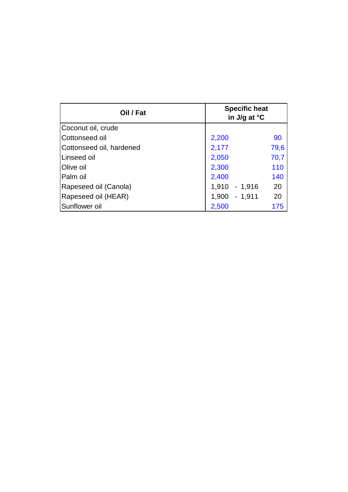| Oil / Fat                | <b>Specific heat</b><br>in J/g at °C |      |  |
|--------------------------|--------------------------------------|------|--|
| Coconut oil, crude       |                                      |      |  |
| Cottonseed oil           | 2,200                                | 90   |  |
| Cottonseed oil, hardened | 2,177                                | 79,6 |  |
| Linseed oil              | 2,050                                | 70,7 |  |
| <b>Olive oil</b>         | 2,300                                | 110  |  |
| Palm oil                 | 2,400                                | 140  |  |
| Rapeseed oil (Canola)    | $1,910 - 1,916$                      | 20   |  |
| Rapeseed oil (HEAR)      | 1,900<br>$-1,911$                    | 20   |  |
| Sunflower oil            | 2,500                                | 175  |  |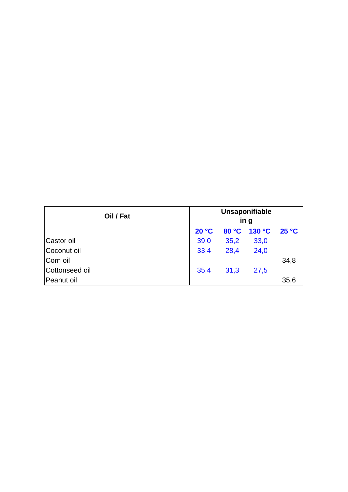| Oil / Fat      | Unsaponifiable<br>in g |      |                    |      |
|----------------|------------------------|------|--------------------|------|
|                | 20 °C                  |      | 80 °C 130 °C 25 °C |      |
| Castor oil     | 39,0                   | 35,2 | 33,0               |      |
| Coconut oil    | 33,4                   | 28,4 | 24,0               |      |
| Corn oil       |                        |      |                    | 34,8 |
| Cottonseed oil | 35,4                   | 31,3 | 27,5               |      |
| Peanut oil     |                        |      |                    | 35,6 |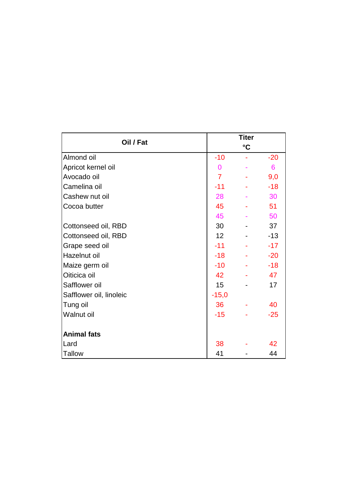| Oil / Fat               |                 | <b>Titer</b>    |       |  |  |
|-------------------------|-----------------|-----------------|-------|--|--|
|                         |                 | $\rm ^{\circ}C$ |       |  |  |
| Almond oil              | $-10$           |                 | $-20$ |  |  |
| Apricot kernel oil      | $\overline{0}$  |                 | 6     |  |  |
| Avocado oil             | $\overline{7}$  |                 | 9,0   |  |  |
| Camelina oil            | $-11$           |                 | $-18$ |  |  |
| Cashew nut oil          | 28              |                 | 30    |  |  |
| Cocoa butter            | 45              |                 | 51    |  |  |
|                         | 45              |                 | 50    |  |  |
| Cottonseed oil, RBD     | 30              |                 | 37    |  |  |
| Cottonseed oil, RBD     | 12 <sub>2</sub> |                 | $-13$ |  |  |
| Grape seed oil          | $-11$           |                 | $-17$ |  |  |
| Hazelnut oil            | $-18$           |                 | $-20$ |  |  |
| Maize germ oil          | $-10$           |                 | $-18$ |  |  |
| Oiticica oil            | 42              |                 | 47    |  |  |
| Safflower oil           | 15              |                 | 17    |  |  |
| Safflower oil, linoleic | $-15,0$         |                 |       |  |  |
| Tung oil                | 36              |                 | 40    |  |  |
| <b>Walnut oil</b>       | $-15$           |                 | $-25$ |  |  |
|                         |                 |                 |       |  |  |
| <b>Animal fats</b>      |                 |                 |       |  |  |
| Lard                    | 38              |                 | 42    |  |  |
| <b>Tallow</b>           | 41              |                 | 44    |  |  |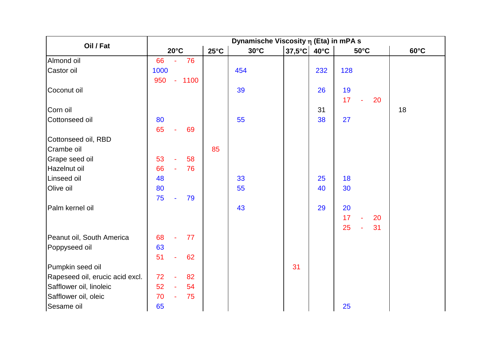|                                 |      | Dynamische Viscosity $\eta$ (Eta) in mPA s |         |                |                |                                  |     |                             |                |  |
|---------------------------------|------|--------------------------------------------|---------|----------------|----------------|----------------------------------|-----|-----------------------------|----------------|--|
| Oil / Fat                       |      | $20^{\circ}$ C                             |         | $25^{\circ}$ C | $30^{\circ}$ C | $37,5^{\circ}$ C 40 $^{\circ}$ C |     | $50^{\circ}$ C              | $60^{\circ}$ C |  |
| Almond oil                      | 66   | $\blacksquare$                             | 76      |                |                |                                  |     |                             |                |  |
| Castor oil                      | 1000 |                                            |         |                | 454            |                                  | 232 | 128                         |                |  |
|                                 | 950  |                                            | $-1100$ |                |                |                                  |     |                             |                |  |
| Coconut oil                     |      |                                            |         |                | 39             |                                  | 26  | 19                          |                |  |
|                                 |      |                                            |         |                |                |                                  |     | 17 <sup>2</sup><br>÷,<br>20 |                |  |
| Corn oil                        |      |                                            |         |                |                |                                  | 31  |                             | 18             |  |
| Cottonseed oil                  | 80   |                                            |         |                | 55             |                                  | 38  | 27                          |                |  |
|                                 | 65   | $\blacksquare$                             | 69      |                |                |                                  |     |                             |                |  |
| Cottonseed oil, RBD             |      |                                            |         |                |                |                                  |     |                             |                |  |
| Crambe oil                      |      |                                            |         | 85             |                |                                  |     |                             |                |  |
| Grape seed oil                  | 53   |                                            | 58      |                |                |                                  |     |                             |                |  |
| Hazelnut oil                    | 66   | ÷.                                         | 76      |                |                |                                  |     |                             |                |  |
| Linseed oil                     | 48   |                                            |         |                | 33             |                                  | 25  | 18                          |                |  |
| Olive oil                       | 80   |                                            |         |                | 55             |                                  | 40  | 30                          |                |  |
|                                 | 75   | $\omega$                                   | 79      |                |                |                                  |     |                             |                |  |
| Palm kernel oil                 |      |                                            |         |                | 43             |                                  | 29  | 20                          |                |  |
|                                 |      |                                            |         |                |                |                                  |     | 17<br>20<br>$\omega$        |                |  |
|                                 |      |                                            |         |                |                |                                  |     | 25<br>31<br>÷,              |                |  |
| Peanut oil, South America       | 68   | $\omega$                                   | 77      |                |                |                                  |     |                             |                |  |
| Poppyseed oil                   | 63   |                                            |         |                |                |                                  |     |                             |                |  |
|                                 | 51   |                                            | 62      |                |                |                                  |     |                             |                |  |
| Pumpkin seed oil                |      |                                            |         |                |                | 31                               |     |                             |                |  |
| Rapeseed oil, erucic acid excl. | 72   | $\blacksquare$                             | 82      |                |                |                                  |     |                             |                |  |
| Safflower oil, linoleic         | 52   | $\omega$                                   | 54      |                |                |                                  |     |                             |                |  |
| Safflower oil, oleic            | 70   | $\omega$                                   | 75      |                |                |                                  |     |                             |                |  |
| Sesame oil                      | 65   |                                            |         |                |                |                                  |     | 25                          |                |  |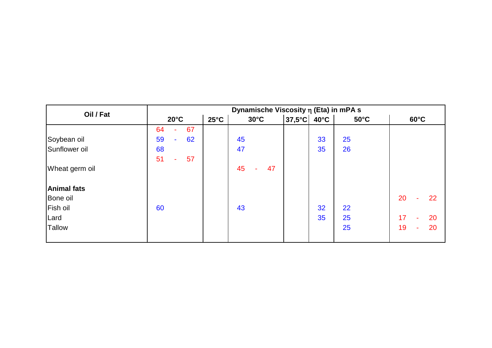| Oil / Fat          | Dynamische Viscosity $\eta$ (Eta) in mPA s |                |                |                       |                |                |                      |  |
|--------------------|--------------------------------------------|----------------|----------------|-----------------------|----------------|----------------|----------------------|--|
|                    | $20^{\circ}$ C                             | $25^{\circ}$ C | $30^{\circ}$ C | $ 37,5^{\circ}$ C $ $ | $40^{\circ}$ C | $50^{\circ}$ C | $60^{\circ}$ C       |  |
|                    | 64<br>67<br>٠                              |                |                |                       |                |                |                      |  |
| Soybean oil        | 59<br>62<br>$\mathbf{r}$                   |                | 45             |                       | 33             | 25             |                      |  |
| Sunflower oil      | 68                                         |                | 47             |                       | 35             | 26             |                      |  |
|                    | 51<br>57<br>$\sim$                         |                |                |                       |                |                |                      |  |
| Wheat germ oil     |                                            |                | 45<br>47<br>÷  |                       |                |                |                      |  |
| <b>Animal fats</b> |                                            |                |                |                       |                |                |                      |  |
| Bone oil           |                                            |                |                |                       |                |                | 20<br>22<br>÷.       |  |
| Fish oil           | 60                                         |                | 43             |                       | 32             | 22             |                      |  |
| Lard               |                                            |                |                |                       | 35             | 25             | 17<br>20<br>÷        |  |
| <b>Tallow</b>      |                                            |                |                |                       |                | 25             | 19<br>20<br>$\omega$ |  |
|                    |                                            |                |                |                       |                |                |                      |  |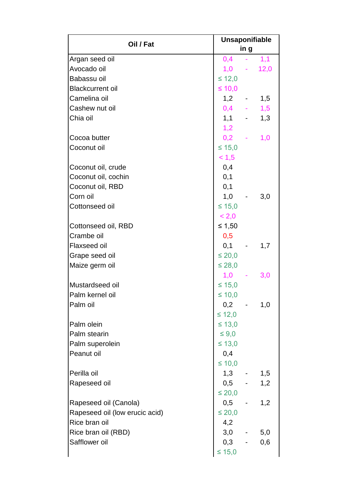| Oil / Fat                      | <b>Unsaponifiable</b><br>in g |  |     |  |
|--------------------------------|-------------------------------|--|-----|--|
| Argan seed oil                 | $0,4$ - 1,1                   |  |     |  |
| Avocado oil                    | $1,0 - 12,0$                  |  |     |  |
| Babassu oil                    | $\leq 12,0$                   |  |     |  |
| <b>Blackcurrent oil</b>        | ≤ 10,0                        |  |     |  |
| Camelina oil                   | $1,2 - -$                     |  | 1,5 |  |
| Cashew nut oil                 | $0,4$ - 1,5                   |  |     |  |
| Chia oil                       | $1,1 - -$                     |  | 1,3 |  |
|                                | 1,2                           |  |     |  |
| Cocoa butter                   | $0,2 -$                       |  | 1,0 |  |
| Coconut oil                    | $≤ 15,0$                      |  |     |  |
|                                | < 1, 5                        |  |     |  |
| Coconut oil, crude             | 0,4                           |  |     |  |
| Coconut oil, cochin            | 0,1                           |  |     |  |
| Coconut oil, RBD               | 0,1                           |  |     |  |
| Corn oil                       | $1,0 -$                       |  | 3,0 |  |
| Cottonseed oil                 | $\leq 15,0$                   |  |     |  |
|                                | < 2,0                         |  |     |  |
| Cottonseed oil, RBD            | ≤ 1,50                        |  |     |  |
| Crambe oil                     | 0,5                           |  |     |  |
| <b>Flaxseed oil</b>            | $0,1 -$                       |  | 1,7 |  |
| Grape seed oil                 | $\leq 20,0$                   |  |     |  |
| Maize germ oil                 | $\leq 28,0$                   |  |     |  |
|                                | $1,0 -$                       |  |     |  |
| Mustardseed oil                | $\leq 15,0$                   |  | 3,0 |  |
| Palm kernel oil                | $\leq 10,0$                   |  |     |  |
| Palm oil                       | $0,2 - 1,0$                   |  |     |  |
|                                | $\leq 12,0$                   |  |     |  |
| Palm olein                     | $\leq 13,0$                   |  |     |  |
|                                |                               |  |     |  |
| Palm stearin                   | $\leq 9,0$                    |  |     |  |
| Palm superolein                | $\leq 13,0$                   |  |     |  |
| Peanut oil                     | 0,4                           |  |     |  |
|                                | $\leq 10,0$                   |  |     |  |
| Perilla oil                    | $1,3 - 1,5$                   |  |     |  |
| Rapeseed oil                   | $0,5 - 1,2$                   |  |     |  |
|                                | $\leq 20,0$                   |  |     |  |
| Rapeseed oil (Canola)          | $0,5 -$                       |  | 1,2 |  |
| Rapeseed oil (low erucic acid) | $\leq 20,0$                   |  |     |  |
| Rice bran oil                  | 4,2                           |  |     |  |
| Rice bran oil (RBD)            | $3,0$ - $5,0$                 |  |     |  |
| Safflower oil                  | $0,3 - 0,6$                   |  |     |  |
|                                | $\leq 15,0$                   |  |     |  |